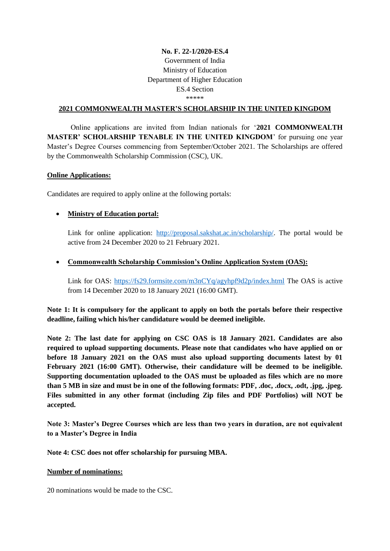# **No. F. 22-1/2020-ES.4** Government of India Ministry of Education Department of Higher Education ES.4 Section \*\*\*\*\*\*

#### **2021 COMMONWEALTH MASTER'S SCHOLARSHIP IN THE UNITED KINGDOM**

Online applications are invited from Indian nationals for '**2021 COMMONWEALTH MASTER' SCHOLARSHIP TENABLE IN THE UNITED KINGDOM**' for pursuing one year Master's Degree Courses commencing from September/October 2021. The Scholarships are offered by the Commonwealth Scholarship Commission (CSC), UK.

#### **Online Applications:**

Candidates are required to apply online at the following portals:

### **Ministry of Education portal:**

Link for online application: [http://proposal.sakshat.ac.in/scholarship/.](http://proposal.sakshat.ac.in/scholarship/) The portal would be active from 24 December 2020 to 21 February 2021.

#### **Commonwealth Scholarship Commission's Online Application System (OAS):**

Link for OAS:<https://fs29.formsite.com/m3nCYq/agyhpf9d2p/index.html> The OAS is active from 14 December 2020 to 18 January 2021 (16:00 GMT).

**Note 1: It is compulsory for the applicant to apply on both the portals before their respective deadline, failing which his/her candidature would be deemed ineligible.**

**Note 2: The last date for applying on CSC OAS is 18 January 2021. Candidates are also required to upload supporting documents. Please note that candidates who have applied on or before 18 January 2021 on the OAS must also upload supporting documents latest by 01 February 2021 (16:00 GMT). Otherwise, their candidature will be deemed to be ineligible. Supporting documentation uploaded to the OAS must be uploaded as files which are no more than 5 MB in size and must be in one of the following formats: PDF, .doc, .docx, .odt, .jpg, .jpeg. Files submitted in any other format (including Zip files and PDF Portfolios) will NOT be accepted.** 

**Note 3: Master's Degree Courses which are less than two years in duration, are not equivalent to a Master's Degree in India**

**Note 4: CSC does not offer scholarship for pursuing MBA.** 

#### **Number of nominations:**

20 nominations would be made to the CSC.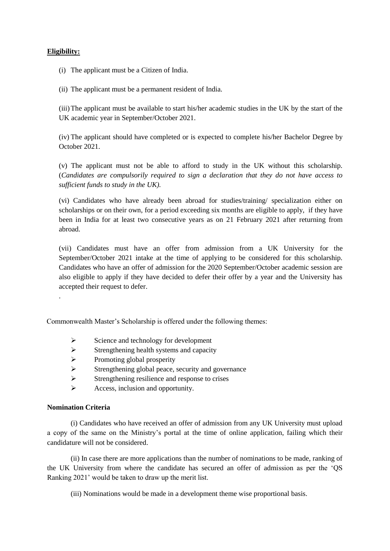#### **Eligibility:**

(i) The applicant must be a Citizen of India.

(ii) The applicant must be a permanent resident of India.

(iii)The applicant must be available to start his/her academic studies in the UK by the start of the UK academic year in September/October 2021.

(iv) The applicant should have completed or is expected to complete his/her Bachelor Degree by October 2021.

(v) The applicant must not be able to afford to study in the UK without this scholarship. (*Candidates are compulsorily required to sign a declaration that they do not have access to sufficient funds to study in the UK).*

(vi) Candidates who have already been abroad for studies/training/ specialization either on scholarships or on their own, for a period exceeding six months are eligible to apply, if they have been in India for at least two consecutive years as on 21 February 2021 after returning from abroad.

(vii) Candidates must have an offer from admission from a UK University for the September/October 2021 intake at the time of applying to be considered for this scholarship. Candidates who have an offer of admission for the 2020 September/October academic session are also eligible to apply if they have decided to defer their offer by a year and the University has accepted their request to defer.

Commonwealth Master's Scholarship is offered under the following themes:

- $\triangleright$  Science and technology for development
- $\triangleright$  Strengthening health systems and capacity
- $\triangleright$  Promoting global prosperity
- $\triangleright$  Strengthening global peace, security and governance
- $\triangleright$  Strengthening resilience and response to crises
- $\triangleright$  Access, inclusion and opportunity.

#### **Nomination Criteria**

.

(i) Candidates who have received an offer of admission from any UK University must upload a copy of the same on the Ministry's portal at the time of online application, failing which their candidature will not be considered.

(ii) In case there are more applications than the number of nominations to be made, ranking of the UK University from where the candidate has secured an offer of admission as per the 'QS Ranking 2021' would be taken to draw up the merit list.

(iii) Nominations would be made in a development theme wise proportional basis.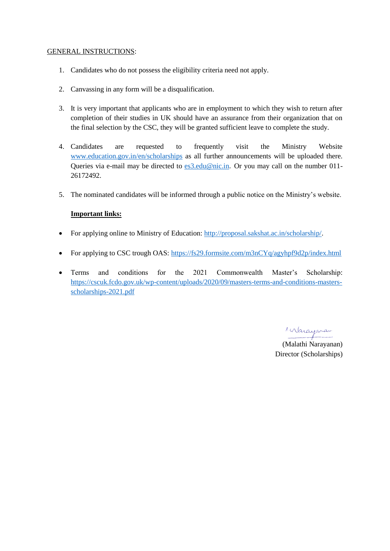#### GENERAL INSTRUCTIONS:

- 1. Candidates who do not possess the eligibility criteria need not apply.
- 2. Canvassing in any form will be a disqualification.
- 3. It is very important that applicants who are in employment to which they wish to return after completion of their studies in UK should have an assurance from their organization that on the final selection by the CSC, they will be granted sufficient leave to complete the study.
- 4. Candidates are requested to frequently visit the Ministry Website [www.education.gov.in/en/scholarships](http://www.education.gov.in/en/scholarships) as all further announcements will be uploaded there. Queries via e-mail may be directed to [es3.edu@nic.in](mailto:es3.edu@nic.in). Or you may call on the number 011-26172492.
- 5. The nominated candidates will be informed through a public notice on the Ministry's website.

# **Important links:**

- For applying online to Ministry of Education: [http://proposal.sakshat.ac.in/scholarship/.](http://proposal.sakshat.ac.in/scholarship/)
- For applying to CSC trough OAS:<https://fs29.formsite.com/m3nCYq/agyhpf9d2p/index.html>
- Terms and conditions for the 2021 Commonwealth Master's Scholarship: [https://cscuk.fcdo.gov.uk/wp-content/uploads/2020/09/masters-terms-and-conditions-masters](https://cscuk.fcdo.gov.uk/wp-content/uploads/2020/09/masters-terms-and-conditions-masters-scholarships-2021.pdf)[scholarships-2021.pdf](https://cscuk.fcdo.gov.uk/wp-content/uploads/2020/09/masters-terms-and-conditions-masters-scholarships-2021.pdf)

Marayaran

(Malathi Narayanan) Director (Scholarships)